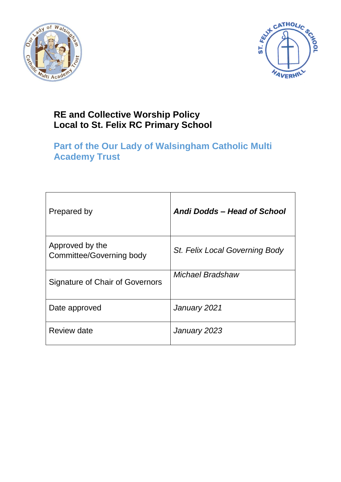



# **RE and Collective Worship Policy Local to St. Felix RC Primary School**

# **Part of the Our Lady of Walsingham Catholic Multi Academy Trust**

| Prepared by                                 | Andi Dodds – Head of School    |
|---------------------------------------------|--------------------------------|
| Approved by the<br>Committee/Governing body | St. Felix Local Governing Body |
| Signature of Chair of Governors             | Michael Bradshaw               |
| Date approved                               | January 2021                   |
| Review date                                 | January 2023                   |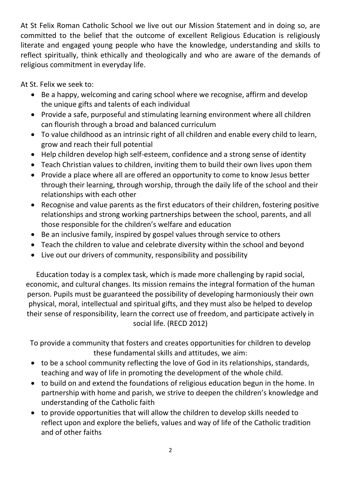At St Felix Roman Catholic School we live out our Mission Statement and in doing so, are committed to the belief that the outcome of excellent Religious Education is religiously literate and engaged young people who have the knowledge, understanding and skills to reflect spiritually, think ethically and theologically and who are aware of the demands of religious commitment in everyday life.

At St. Felix we seek to:

- Be a happy, welcoming and caring school where we recognise, affirm and develop the unique gifts and talents of each individual
- Provide a safe, purposeful and stimulating learning environment where all children can flourish through a broad and balanced curriculum
- To value childhood as an intrinsic right of all children and enable every child to learn, grow and reach their full potential
- Help children develop high self-esteem, confidence and a strong sense of identity
- Teach Christian values to children, inviting them to build their own lives upon them
- Provide a place where all are offered an opportunity to come to know Jesus better through their learning, through worship, through the daily life of the school and their relationships with each other
- Recognise and value parents as the first educators of their children, fostering positive relationships and strong working partnerships between the school, parents, and all those responsible for the children's welfare and education
- Be an inclusive family, inspired by gospel values through service to others
- Teach the children to value and celebrate diversity within the school and beyond
- Live out our drivers of community, responsibility and possibility

Education today is a complex task, which is made more challenging by rapid social, economic, and cultural changes. Its mission remains the integral formation of the human person. Pupils must be guaranteed the possibility of developing harmoniously their own physical, moral, intellectual and spiritual gifts, and they must also be helped to develop their sense of responsibility, learn the correct use of freedom, and participate actively in social life. (RECD 2012)

To provide a community that fosters and creates opportunities for children to develop these fundamental skills and attitudes, we aim:

- to be a school community reflecting the love of God in its relationships, standards, teaching and way of life in promoting the development of the whole child.
- to build on and extend the foundations of religious education begun in the home. In partnership with home and parish, we strive to deepen the children's knowledge and understanding of the Catholic faith
- to provide opportunities that will allow the children to develop skills needed to reflect upon and explore the beliefs, values and way of life of the Catholic tradition and of other faiths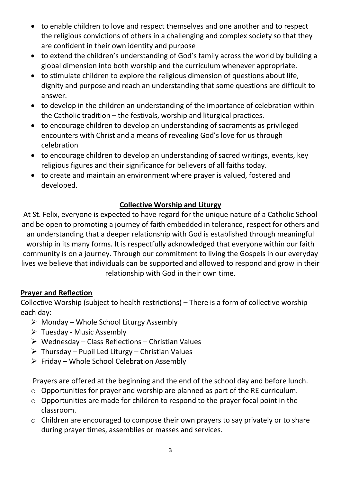- to enable children to love and respect themselves and one another and to respect the religious convictions of others in a challenging and complex society so that they are confident in their own identity and purpose
- to extend the children's understanding of God's family across the world by building a global dimension into both worship and the curriculum whenever appropriate.
- to stimulate children to explore the religious dimension of questions about life, dignity and purpose and reach an understanding that some questions are difficult to answer.
- to develop in the children an understanding of the importance of celebration within the Catholic tradition – the festivals, worship and liturgical practices.
- to encourage children to develop an understanding of sacraments as privileged encounters with Christ and a means of revealing God's love for us through celebration
- to encourage children to develop an understanding of sacred writings, events, key religious figures and their significance for believers of all faiths today.
- to create and maintain an environment where prayer is valued, fostered and developed.

## **Collective Worship and Liturgy**

At St. Felix, everyone is expected to have regard for the unique nature of a Catholic School and be open to promoting a journey of faith embedded in tolerance, respect for others and an understanding that a deeper relationship with God is established through meaningful worship in its many forms. It is respectfully acknowledged that everyone within our faith community is on a journey. Through our commitment to living the Gospels in our everyday lives we believe that individuals can be supported and allowed to respond and grow in their relationship with God in their own time.

#### **Prayer and Reflection**

Collective Worship (subject to health restrictions) – There is a form of collective worship each day:

- $\triangleright$  Monday Whole School Liturgy Assembly
- $\triangleright$  Tuesday Music Assembly
- $\triangleright$  Wednesday Class Reflections Christian Values
- $\triangleright$  Thursday Pupil Led Liturgy Christian Values
- $\triangleright$  Friday Whole School Celebration Assembly

Prayers are offered at the beginning and the end of the school day and before lunch.

- o Opportunities for prayer and worship are planned as part of the RE curriculum.
- o Opportunities are made for children to respond to the prayer focal point in the classroom.
- o Children are encouraged to compose their own prayers to say privately or to share during prayer times, assemblies or masses and services.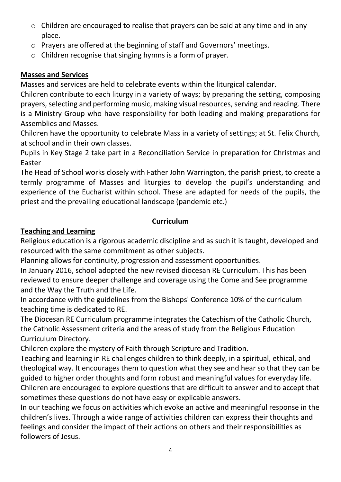- o Children are encouraged to realise that prayers can be said at any time and in any place.
- o Prayers are offered at the beginning of staff and Governors' meetings.
- o Children recognise that singing hymns is a form of prayer.

## **Masses and Services**

Masses and services are held to celebrate events within the liturgical calendar.

Children contribute to each liturgy in a variety of ways; by preparing the setting, composing prayers, selecting and performing music, making visual resources, serving and reading. There is a Ministry Group who have responsibility for both leading and making preparations for Assemblies and Masses.

Children have the opportunity to celebrate Mass in a variety of settings; at St. Felix Church, at school and in their own classes.

Pupils in Key Stage 2 take part in a Reconciliation Service in preparation for Christmas and Easter

The Head of School works closely with Father John Warrington, the parish priest, to create a termly programme of Masses and liturgies to develop the pupil's understanding and experience of the Eucharist within school. These are adapted for needs of the pupils, the priest and the prevailing educational landscape (pandemic etc.)

## **Curriculum**

# **Teaching and Learning**

Religious education is a rigorous academic discipline and as such it is taught, developed and resourced with the same commitment as other subjects.

Planning allows for continuity, progression and assessment opportunities.

In January 2016, school adopted the new revised diocesan RE Curriculum. This has been reviewed to ensure deeper challenge and coverage using the Come and See programme and the Way the Truth and the Life.

In accordance with the guidelines from the Bishops' Conference 10% of the curriculum teaching time is dedicated to RE.

The Diocesan RE Curriculum programme integrates the Catechism of the Catholic Church, the Catholic Assessment criteria and the areas of study from the Religious Education Curriculum Directory.

Children explore the mystery of Faith through Scripture and Tradition.

Teaching and learning in RE challenges children to think deeply, in a spiritual, ethical, and theological way. It encourages them to question what they see and hear so that they can be guided to higher order thoughts and form robust and meaningful values for everyday life. Children are encouraged to explore questions that are difficult to answer and to accept that sometimes these questions do not have easy or explicable answers.

In our teaching we focus on activities which evoke an active and meaningful response in the children's lives. Through a wide range of activities children can express their thoughts and feelings and consider the impact of their actions on others and their responsibilities as followers of Jesus.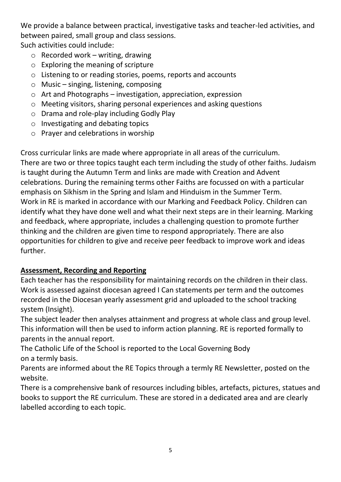We provide a balance between practical, investigative tasks and teacher-led activities, and between paired, small group and class sessions.

Such activities could include:

- $\circ$  Recorded work writing, drawing
- o Exploring the meaning of scripture
- o Listening to or reading stories, poems, reports and accounts
- o Music singing, listening, composing
- o Art and Photographs investigation, appreciation, expression
- o Meeting visitors, sharing personal experiences and asking questions
- o Drama and role-play including Godly Play
- o Investigating and debating topics
- o Prayer and celebrations in worship

Cross curricular links are made where appropriate in all areas of the curriculum. There are two or three topics taught each term including the study of other faiths. Judaism is taught during the Autumn Term and links are made with Creation and Advent celebrations. During the remaining terms other Faiths are focussed on with a particular emphasis on Sikhism in the Spring and Islam and Hinduism in the Summer Term. Work in RE is marked in accordance with our Marking and Feedback Policy. Children can identify what they have done well and what their next steps are in their learning. Marking and feedback, where appropriate, includes a challenging question to promote further thinking and the children are given time to respond appropriately. There are also opportunities for children to give and receive peer feedback to improve work and ideas further.

# **Assessment, Recording and Reporting**

Each teacher has the responsibility for maintaining records on the children in their class. Work is assessed against diocesan agreed I Can statements per term and the outcomes recorded in the Diocesan yearly assessment grid and uploaded to the school tracking system (Insight).

The subject leader then analyses attainment and progress at whole class and group level. This information will then be used to inform action planning. RE is reported formally to parents in the annual report.

The Catholic Life of the School is reported to the Local Governing Body on a termly basis.

Parents are informed about the RE Topics through a termly RE Newsletter, posted on the website.

There is a comprehensive bank of resources including bibles, artefacts, pictures, statues and books to support the RE curriculum. These are stored in a dedicated area and are clearly labelled according to each topic.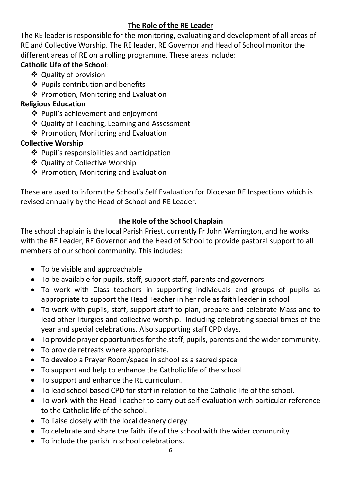#### **The Role of the RE Leader**

The RE leader is responsible for the monitoring, evaluating and development of all areas of RE and Collective Worship. The RE leader, RE Governor and Head of School monitor the different areas of RE on a rolling programme. These areas include:

## **Catholic Life of the School**:

- ❖ Quality of provision
- ❖ Pupils contribution and benefits
- ❖ Promotion, Monitoring and Evaluation

# **Religious Education**

- ❖ Pupil's achievement and enjoyment
- ❖ Quality of Teaching, Learning and Assessment
- ❖ Promotion, Monitoring and Evaluation

# **Collective Worship**

- $\triangleq$  Pupil's responsibilities and participation
- Quality of Collective Worship
- ❖ Promotion, Monitoring and Evaluation

These are used to inform the School's Self Evaluation for Diocesan RE Inspections which is revised annually by the Head of School and RE Leader.

# **The Role of the School Chaplain**

The school chaplain is the local Parish Priest, currently Fr John Warrington, and he works with the RE Leader, RE Governor and the Head of School to provide pastoral support to all members of our school community. This includes:

- To be visible and approachable
- To be available for pupils, staff, support staff, parents and governors.
- To work with Class teachers in supporting individuals and groups of pupils as appropriate to support the Head Teacher in her role as faith leader in school
- To work with pupils, staff, support staff to plan, prepare and celebrate Mass and to lead other liturgies and collective worship. Including celebrating special times of the year and special celebrations. Also supporting staff CPD days.
- To provide prayer opportunities for the staff, pupils, parents and the wider community.
- To provide retreats where appropriate.
- To develop a Prayer Room/space in school as a sacred space
- To support and help to enhance the Catholic life of the school
- To support and enhance the RE curriculum.
- To lead school based CPD for staff in relation to the Catholic life of the school.
- To work with the Head Teacher to carry out self-evaluation with particular reference to the Catholic life of the school.
- To liaise closely with the local deanery clergy
- To celebrate and share the faith life of the school with the wider community
- To include the parish in school celebrations.